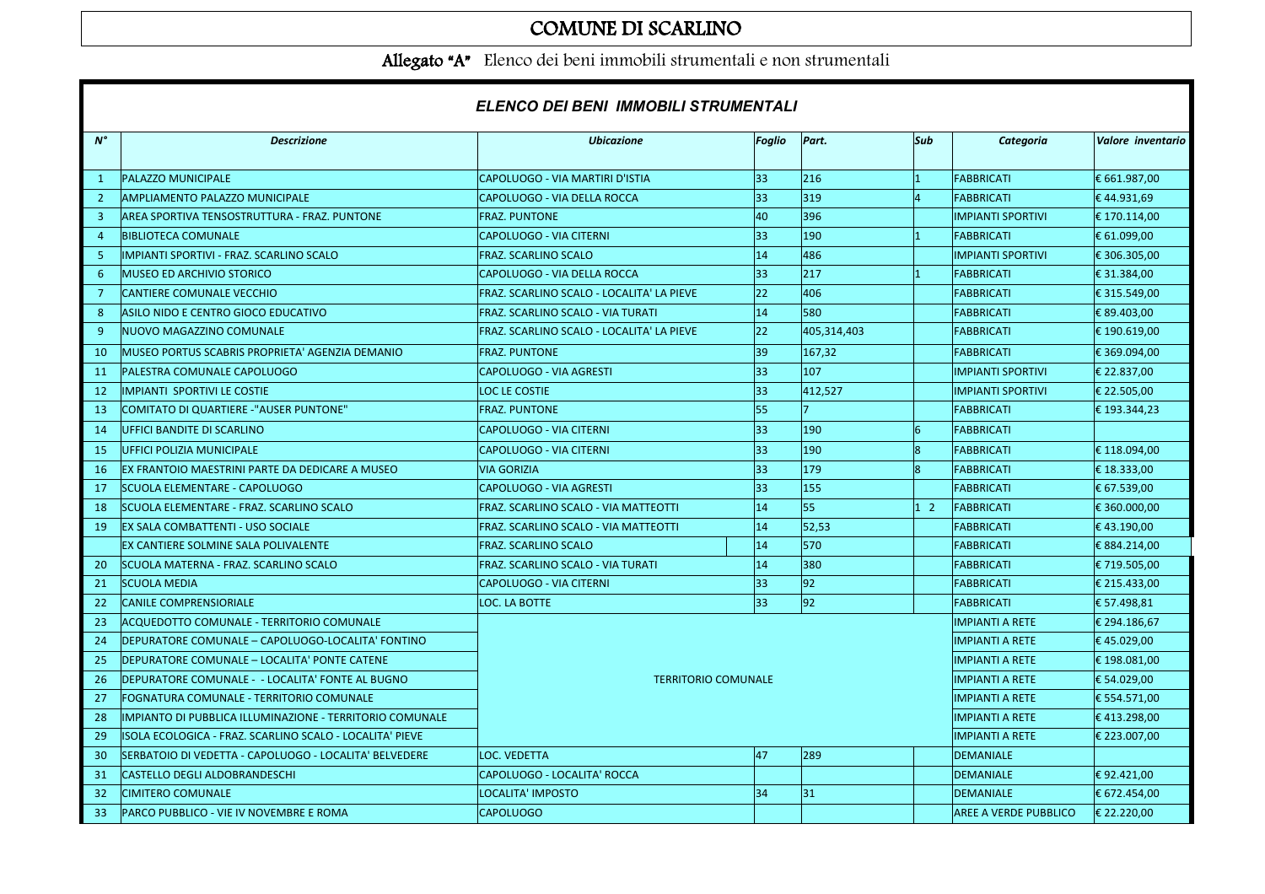## COMUNE DI SCARLINO

Allegato "A" Elenco dei beni immobili strumentali e non strumentali

|                | ELENCO DEI BENI IMMOBILI STRUMENTALI                     |                                           |                        |              |                                       |                              |                   |  |
|----------------|----------------------------------------------------------|-------------------------------------------|------------------------|--------------|---------------------------------------|------------------------------|-------------------|--|
| $N^{\circ}$    | <b>Descrizione</b>                                       | <b>Ubicazione</b>                         | Foglio                 | Part.        | Sub                                   | Categoria                    | Valore inventario |  |
| <sup>1</sup>   | PALAZZO MUNICIPALE                                       | CAPOLUOGO - VIA MARTIRI D'ISTIA           | 33                     | 216          | $\vert$ 1                             | <b>FABBRICATI</b>            | € 661.987,00      |  |
| $\overline{2}$ | AMPLIAMENTO PALAZZO MUNICIPALE                           | CAPOLUOGO - VIA DELLA ROCCA               | 33                     | 319          |                                       | <b>FABBRICATI</b>            | €44.931,69        |  |
| 3              | AREA SPORTIVA TENSOSTRUTTURA - FRAZ. PUNTONE             | <b>FRAZ. PUNTONE</b>                      | 40                     | 396          |                                       | <b>IMPIANTI SPORTIVI</b>     | € 170.114,00      |  |
| $\overline{4}$ | <b>BIBLIOTECA COMUNALE</b>                               | <b>CAPOLUOGO - VIA CITERNI</b>            | 33                     | 190          | $\vert$ 1                             | <b>FABBRICATI</b>            | € 61.099,00       |  |
| -5.            | IMPIANTI SPORTIVI - FRAZ. SCARLINO SCALO                 | FRAZ. SCARLINO SCALO                      | 14                     | 486          |                                       | <b>IMPIANTI SPORTIVI</b>     | € 306.305,00      |  |
| 6              | <b>MUSEO ED ARCHIVIO STORICO</b>                         | CAPOLUOGO - VIA DELLA ROCCA               | 33                     | 217          | $\overline{1}$                        | <b>FABBRICATI</b>            | € 31.384,00       |  |
| 7              | ICANTIERE COMUNALE VECCHIO                               | FRAZ. SCARLINO SCALO - LOCALITA' LA PIEVE | 22                     | 406          |                                       | <b>FABBRICATI</b>            | € 315.549,00      |  |
| 8              | ASILO NIDO E CENTRO GIOCO EDUCATIVO                      | FRAZ. SCARLINO SCALO - VIA TURATI         | 14                     | 580          |                                       | <b>FABBRICATI</b>            | € 89.403,00       |  |
| 9              | NUOVO MAGAZZINO COMUNALE                                 | FRAZ. SCARLINO SCALO - LOCALITA' LA PIEVE | 22                     | 405,314,403  |                                       | <b>FABBRICATI</b>            | € 190.619,00      |  |
| 10             | MUSEO PORTUS SCABRIS PROPRIETA' AGENZIA DEMANIO          | <b>FRAZ. PUNTONE</b>                      | 39                     | 167,32       |                                       | <b>FABBRICATI</b>            | € 369.094,00      |  |
| 11             | PALESTRA COMUNALE CAPOLUOGO                              | CAPOLUOGO - VIA AGRESTI                   | 33                     | 107          |                                       | <b>IMPIANTI SPORTIVI</b>     | € 22.837,00       |  |
| 12             | <b>IMPIANTI SPORTIVI LE COSTIE</b>                       | <b>LOC LE COSTIE</b>                      | 33                     | 412,527      |                                       | <b>IMPIANTI SPORTIVI</b>     | € 22.505,00       |  |
| 13             | COMITATO DI QUARTIERE -"AUSER PUNTONE"                   | <b>FRAZ. PUNTONE</b>                      | 55                     |              |                                       | <b>FABBRICATI</b>            | €193.344,23       |  |
| 14             | UFFICI BANDITE DI SCARLINO                               | <b>CAPOLUOGO - VIA CITERNI</b>            | 33                     | 190          | 16                                    | <b>FABBRICATI</b>            |                   |  |
| 15             | UFFICI POLIZIA MUNICIPALE                                | CAPOLUOGO - VIA CITERNI                   | 33                     | 190          | 18                                    | <b>FABBRICATI</b>            | € 118.094,00      |  |
| 16             | EX FRANTOIO MAESTRINI PARTE DA DEDICARE A MUSEO          | <b>VIA GORIZIA</b>                        | 33                     | 179          | lg                                    | <b>FABBRICATI</b>            | € 18.333,00       |  |
| 17             | ISCUOLA ELEMENTARE - CAPOLUOGO                           | CAPOLUOGO - VIA AGRESTI                   | 33                     | 155          |                                       | <b>FABBRICATI</b>            | € 67.539,00       |  |
| 18             | ISCUOLA ELEMENTARE - FRAZ. SCARLINO SCALO                | FRAZ. SCARLINO SCALO - VIA MATTEOTTI      | 14                     | 55           | $\begin{vmatrix} 1 & 2 \end{vmatrix}$ | <b>FABBRICATI</b>            | € 360.000,00      |  |
| 19             | IEX SALA COMBATTENTI - USO SOCIALE                       | FRAZ. SCARLINO SCALO - VIA MATTEOTTI      | 14                     | 52,53        |                                       | <b>FABBRICATI</b>            | €43.190,00        |  |
|                | EX CANTIERE SOLMINE SALA POLIVALENTE                     | <b>FRAZ. SCARLINO SCALO</b>               | 14                     | 570          |                                       | <b>FABBRICATI</b>            | € 884.214,00      |  |
| 20             | ISCUOLA MATERNA - FRAZ. SCARLINO SCALO                   | FRAZ. SCARLINO SCALO - VIA TURATI         | 14                     | 380          |                                       | <b>FABBRICATI</b>            | € 719.505,00      |  |
| 21             | <b>SCUOLA MEDIA</b>                                      | <b>CAPOLUOGO - VIA CITERNI</b>            | 33                     | 92           |                                       | <b>FABBRICATI</b>            | € 215.433,00      |  |
| 22             | <b>CANILE COMPRENSIORIALE</b>                            | LOC. LA BOTTE                             | 33                     | 92           |                                       | <b>FABBRICATI</b>            | € 57.498,81       |  |
| 23             | ACQUEDOTTO COMUNALE - TERRITORIO COMUNALE                |                                           |                        |              |                                       | <b>IMPIANTI A RETE</b>       | € 294.186,67      |  |
| 24             | DEPURATORE COMUNALE - CAPOLUOGO-LOCALITA' FONTINO        |                                           | <b>IMPIANTI A RETE</b> | €45.029,00   |                                       |                              |                   |  |
| 25             | DEPURATORE COMUNALE - LOCALITA' PONTE CATENE             |                                           | <b>IMPIANTI A RETE</b> | € 198.081,00 |                                       |                              |                   |  |
| 26             | IDEPURATORE COMUNALE -  - LOCALITA' FONTE AL BUGNO       | <b>TERRITORIO COMUNALE</b>                |                        |              |                                       | <b>IMPIANTI A RETE</b>       | € 54.029,00       |  |
| 27             | FOGNATURA COMUNALE - TERRITORIO COMUNALE                 |                                           | <b>IMPIANTI A RETE</b> | € 554.571,00 |                                       |                              |                   |  |
| 28             | IMPIANTO DI PUBBLICA ILLUMINAZIONE - TERRITORIO COMUNALE |                                           |                        |              |                                       | <b>IMPIANTI A RETE</b>       | €413.298,00       |  |
| 29             | ISOLA ECOLOGICA - FRAZ. SCARLINO SCALO - LOCALITA' PIEVE |                                           |                        |              |                                       | <b>IMPIANTI A RETE</b>       | € 223.007,00      |  |
| 30             | ISERBATOIO DI VEDETTA - CAPOLUOGO - LOCALITA' BELVEDERE  | <b>LOC. VEDETTA</b>                       | 47                     | 289          |                                       | <b>DEMANIALE</b>             |                   |  |
| 31             | ICASTELLO DEGLI ALDOBRANDESCHI                           | CAPOLUOGO - LOCALITA' ROCCA               |                        |              |                                       | <b>DEMANIALE</b>             | €92.421,00        |  |
| 32             | <b>CIMITERO COMUNALE</b>                                 | LOCALITA' IMPOSTO                         | 34                     | 31           |                                       | <b>DEMANIALE</b>             | € 672.454,00      |  |
| 33             | PARCO PUBBLICO - VIE IV NOVEMBRE E ROMA                  | <b>CAPOLUOGO</b>                          |                        |              |                                       | <b>AREE A VERDE PUBBLICO</b> | € 22.220,00       |  |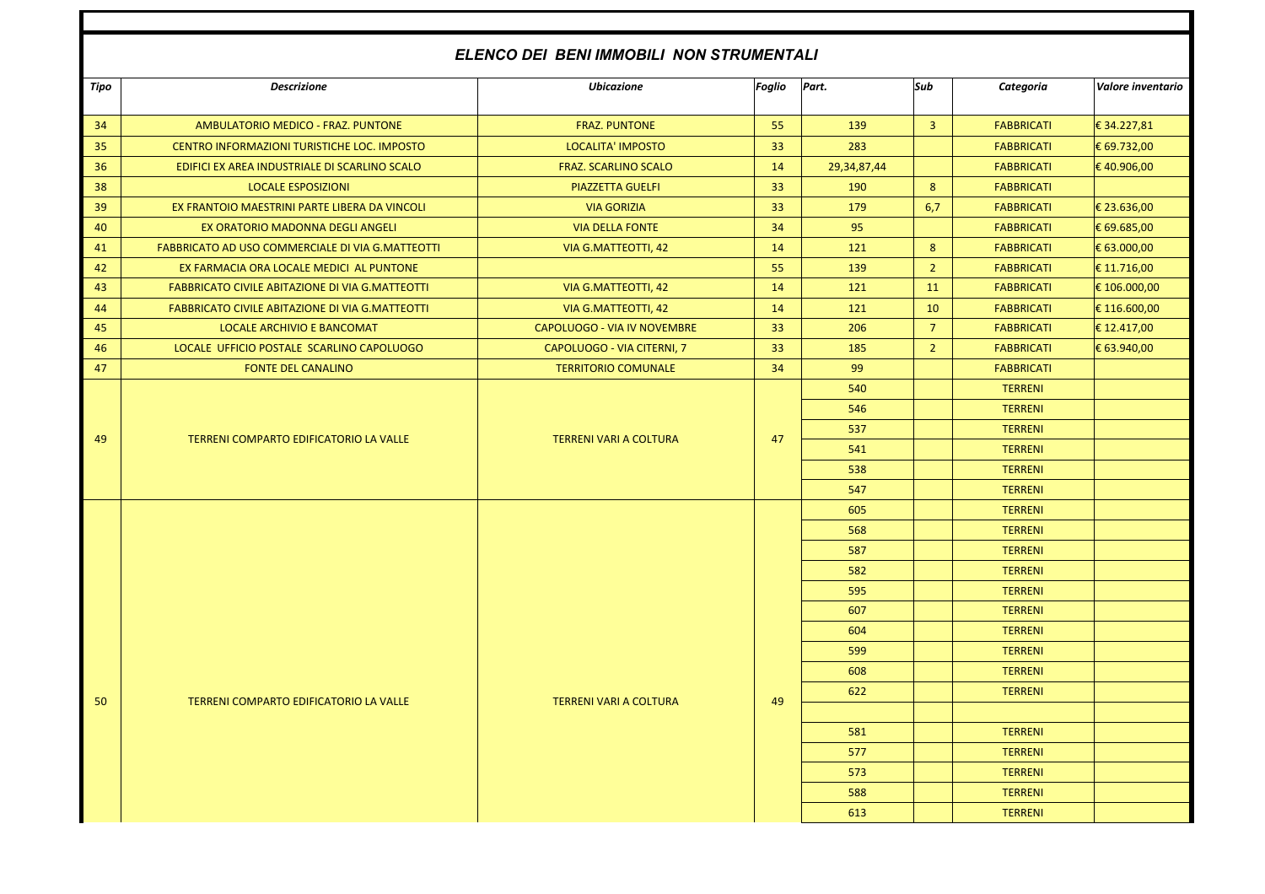## *ELENCO DEI BENI IMMOBILI NON STRUMENTALI*

| Tipo | <b>Descrizione</b>                                     | <b>Ubicazione</b>             | Foglio | Part.       | Sub            | Categoria         | Valore inventario |
|------|--------------------------------------------------------|-------------------------------|--------|-------------|----------------|-------------------|-------------------|
| 34   | AMBULATORIO MEDICO - FRAZ. PUNTONE                     | <b>FRAZ. PUNTONE</b>          | 55     | 139         | $\overline{3}$ | <b>FABBRICATI</b> | € 34.227,81       |
| 35   | CENTRO INFORMAZIONI TURISTICHE LOC. IMPOSTO            | LOCALITA' IMPOSTO             | 33     | 283         |                | <b>FABBRICATI</b> | € 69.732,00       |
| 36   | EDIFICI EX AREA INDUSTRIALE DI SCARLINO SCALO          | <b>FRAZ. SCARLINO SCALO</b>   | 14     | 29,34,87,44 |                | <b>FABBRICATI</b> | €40.906,00        |
| 38   | <b>LOCALE ESPOSIZIONI</b>                              | <b>PIAZZETTA GUELFI</b>       | 33     | 190         | 8              | <b>FABBRICATI</b> |                   |
| 39   | EX FRANTOIO MAESTRINI PARTE LIBERA DA VINCOLI          | <b>VIA GORIZIA</b>            | 33     | 179         | 6,7            | <b>FABBRICATI</b> | € 23.636,00       |
| 40   | EX ORATORIO MADONNA DEGLI ANGELI                       | <b>VIA DELLA FONTE</b>        | 34     | 95          |                | <b>FABBRICATI</b> | € 69.685,00       |
| 41   | FABBRICATO AD USO COMMERCIALE DI VIA G.MATTEOTTI       | VIA G.MATTEOTTI, 42           | 14     | 121         | 8              | <b>FABBRICATI</b> | € 63.000,00       |
| 42   | EX FARMACIA ORA LOCALE MEDICI AL PUNTONE               |                               | 55     | 139         | $\overline{2}$ | <b>FABBRICATI</b> | € 11.716,00       |
| 43   | <b>FABBRICATO CIVILE ABITAZIONE DI VIA G.MATTEOTTI</b> | VIA G.MATTEOTTI, 42           | 14     | 121         | 11             | <b>FABBRICATI</b> | € 106.000,00      |
| 44   | <b>FABBRICATO CIVILE ABITAZIONE DI VIA G.MATTEOTTI</b> | VIA G.MATTEOTTI, 42           | 14     | 121         | 10             | <b>FABBRICATI</b> | € 116.600,00      |
| 45   | LOCALE ARCHIVIO E BANCOMAT                             | CAPOLUOGO - VIA IV NOVEMBRE   | 33     | 206         | $\overline{7}$ | <b>FABBRICATI</b> | € 12.417,00       |
| 46   | LOCALE UFFICIO POSTALE SCARLINO CAPOLUOGO              | CAPOLUOGO - VIA CITERNI, 7    | 33     | 185         | $\overline{2}$ | <b>FABBRICATI</b> | € 63.940,00       |
| 47   | <b>FONTE DEL CANALINO</b>                              | <b>TERRITORIO COMUNALE</b>    | 34     | 99          |                | <b>FABBRICATI</b> |                   |
|      | TERRENI COMPARTO EDIFICATORIO LA VALLE                 | <b>TERRENI VARI A COLTURA</b> |        | 540         |                | <b>TERRENI</b>    |                   |
|      |                                                        |                               | 47     | 546         |                | <b>TERRENI</b>    |                   |
| 49   |                                                        |                               |        | 537         |                | <b>TERRENI</b>    |                   |
|      |                                                        |                               |        | 541         |                | <b>TERRENI</b>    |                   |
|      |                                                        |                               |        | 538         |                | <b>TERRENI</b>    |                   |
|      |                                                        |                               |        | 547         |                | <b>TERRENI</b>    |                   |
|      |                                                        |                               |        | 605         |                | <b>TERRENI</b>    |                   |
|      |                                                        |                               |        | 568         |                | <b>TERRENI</b>    |                   |
|      |                                                        |                               |        | 587         |                | <b>TERRENI</b>    |                   |
|      |                                                        |                               |        | 582         |                | <b>TERRENI</b>    |                   |
|      |                                                        |                               |        | 595         |                | <b>TERRENI</b>    |                   |
|      |                                                        |                               |        | 607         |                | <b>TERRENI</b>    |                   |
|      |                                                        |                               |        | 604         |                | <b>TERRENI</b>    |                   |
|      |                                                        |                               |        | 599         |                | <b>TERRENI</b>    |                   |
|      |                                                        |                               |        | 608         |                | <b>TERRENI</b>    |                   |
| 50   | TERRENI COMPARTO EDIFICATORIO LA VALLE                 | <b>TERRENI VARI A COLTURA</b> | 49     | 622         |                | <b>TERRENI</b>    |                   |
|      |                                                        |                               |        |             |                |                   |                   |
|      |                                                        |                               |        | 581         |                | <b>TERRENI</b>    |                   |
|      |                                                        |                               |        | 577         |                | <b>TERRENI</b>    |                   |
|      |                                                        |                               |        | 573         |                | <b>TERRENI</b>    |                   |
|      |                                                        |                               |        | 588         |                | <b>TERRENI</b>    |                   |
|      |                                                        |                               |        | 613         |                | <b>TERRENI</b>    |                   |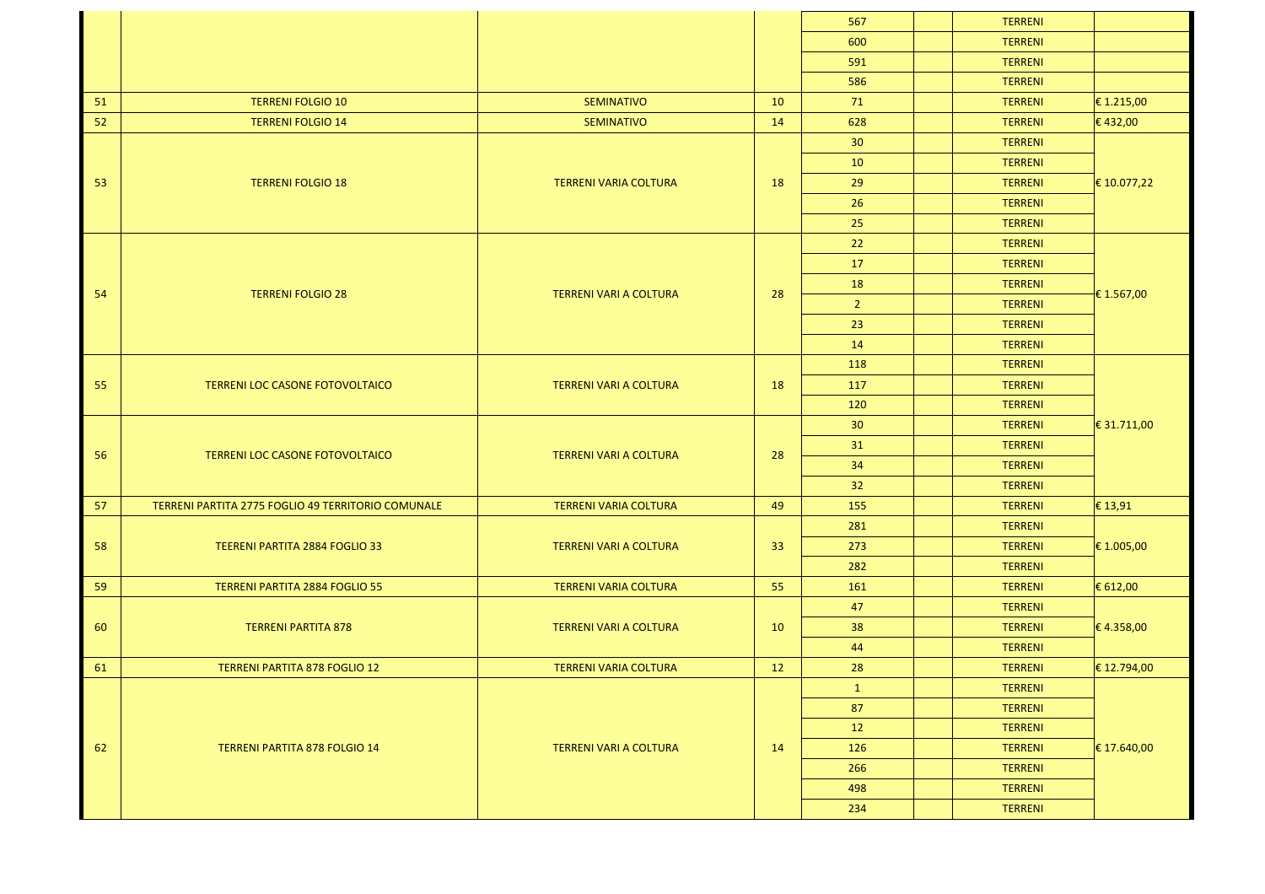|    |                                                    |                               |    | 567             | <b>TERRENI</b> |                     |
|----|----------------------------------------------------|-------------------------------|----|-----------------|----------------|---------------------|
|    |                                                    |                               |    | 600             | <b>TERRENI</b> |                     |
|    |                                                    |                               |    | 591             | <b>TERRENI</b> |                     |
|    |                                                    |                               |    | 586             | <b>TERRENI</b> |                     |
| 51 | <b>TERRENI FOLGIO 10</b>                           | <b>SEMINATIVO</b>             | 10 | 71              | <b>TERRENI</b> | € 1.215,00          |
| 52 | <b>TERRENI FOLGIO 14</b>                           | <b>SEMINATIVO</b>             | 14 | 628             | <b>TERRENI</b> | €432,00             |
|    |                                                    |                               |    | 30 <sup>°</sup> | <b>TERRENI</b> | € 10.077,22         |
|    |                                                    |                               |    | 10              | <b>TERRENI</b> |                     |
| 53 | <b>TERRENI FOLGIO 18</b>                           | <b>TERRENI VARIA COLTURA</b>  | 18 | 29              | <b>TERRENI</b> |                     |
|    |                                                    |                               |    | 26              | <b>TERRENI</b> |                     |
|    |                                                    |                               |    | 25              | <b>TERRENI</b> |                     |
|    |                                                    |                               |    | 22              | <b>TERRENI</b> | € 1.567,00          |
|    | <b>TERRENI FOLGIO 28</b>                           |                               |    | 17              | <b>TERRENI</b> |                     |
| 54 |                                                    | <b>TERRENI VARI A COLTURA</b> | 28 | 18              | <b>TERRENI</b> |                     |
|    |                                                    |                               |    | $\overline{2}$  | <b>TERRENI</b> |                     |
|    |                                                    |                               |    | 23              | <b>TERRENI</b> |                     |
|    |                                                    |                               |    | 14              | <b>TERRENI</b> |                     |
|    | TERRENI LOC CASONE FOTOVOLTAICO                    |                               |    | 118             | <b>TERRENI</b> | $\big $ € 31.711,00 |
| 55 |                                                    | TERRENI VARI A COLTURA        | 18 | 117             | <b>TERRENI</b> |                     |
|    |                                                    |                               |    | 120             | <b>TERRENI</b> |                     |
|    | TERRENI LOC CASONE FOTOVOLTAICO                    | TERRENI VARI A COLTURA        |    | 30 <sup>°</sup> | <b>TERRENI</b> |                     |
| 56 |                                                    |                               | 28 | 31              | <b>TERRENI</b> |                     |
|    |                                                    |                               |    | 34              | <b>TERRENI</b> |                     |
|    |                                                    |                               |    | 32              | <b>TERRENI</b> |                     |
| 57 | TERRENI PARTITA 2775 FOGLIO 49 TERRITORIO COMUNALE | <b>TERRENI VARIA COLTURA</b>  | 49 | 155             | <b>TERRENI</b> | $\epsilon$ 13,91    |
|    | TEERENI PARTITA 2884 FOGLIO 33                     | <b>TERRENI VARI A COLTURA</b> | 33 | 281             | <b>TERRENI</b> | € 1.005,00          |
| 58 |                                                    |                               |    | 273             | <b>TERRENI</b> |                     |
|    |                                                    |                               |    | 282             | <b>TERRENI</b> |                     |
| 59 | TERRENI PARTITA 2884 FOGLIO 55                     | <b>TERRENI VARIA COLTURA</b>  | 55 | 161             | <b>TERRENI</b> | € 612,00            |
|    | <b>TERRENI PARTITA 878</b>                         |                               |    | 47              | <b>TERRENI</b> | € 4.358,00          |
| 60 |                                                    | <b>TERRENI VARI A COLTURA</b> | 10 | 38              | <b>TERRENI</b> |                     |
|    |                                                    |                               |    | 44              | <b>TERRENI</b> |                     |
| 61 | <b>TERRENI PARTITA 878 FOGLIO 12</b>               | <b>TERRENI VARIA COLTURA</b>  | 12 | 28              | <b>TERRENI</b> | € 12.794,00         |
|    |                                                    |                               |    | $\mathbf{1}$    | <b>TERRENI</b> | $\in$ 17.640,00     |
|    |                                                    |                               | 14 | 87              | <b>TERRENI</b> |                     |
|    |                                                    | <b>TERRENI VARI A COLTURA</b> |    | 12              | <b>TERRENI</b> |                     |
| 62 | TERRENI PARTITA 878 FOLGIO 14                      |                               |    | 126             | <b>TERRENI</b> |                     |
|    |                                                    |                               |    | 266             | <b>TERRENI</b> |                     |
|    |                                                    |                               |    | 498             | <b>TERRENI</b> |                     |
|    |                                                    |                               |    | 234             | <b>TERRENI</b> |                     |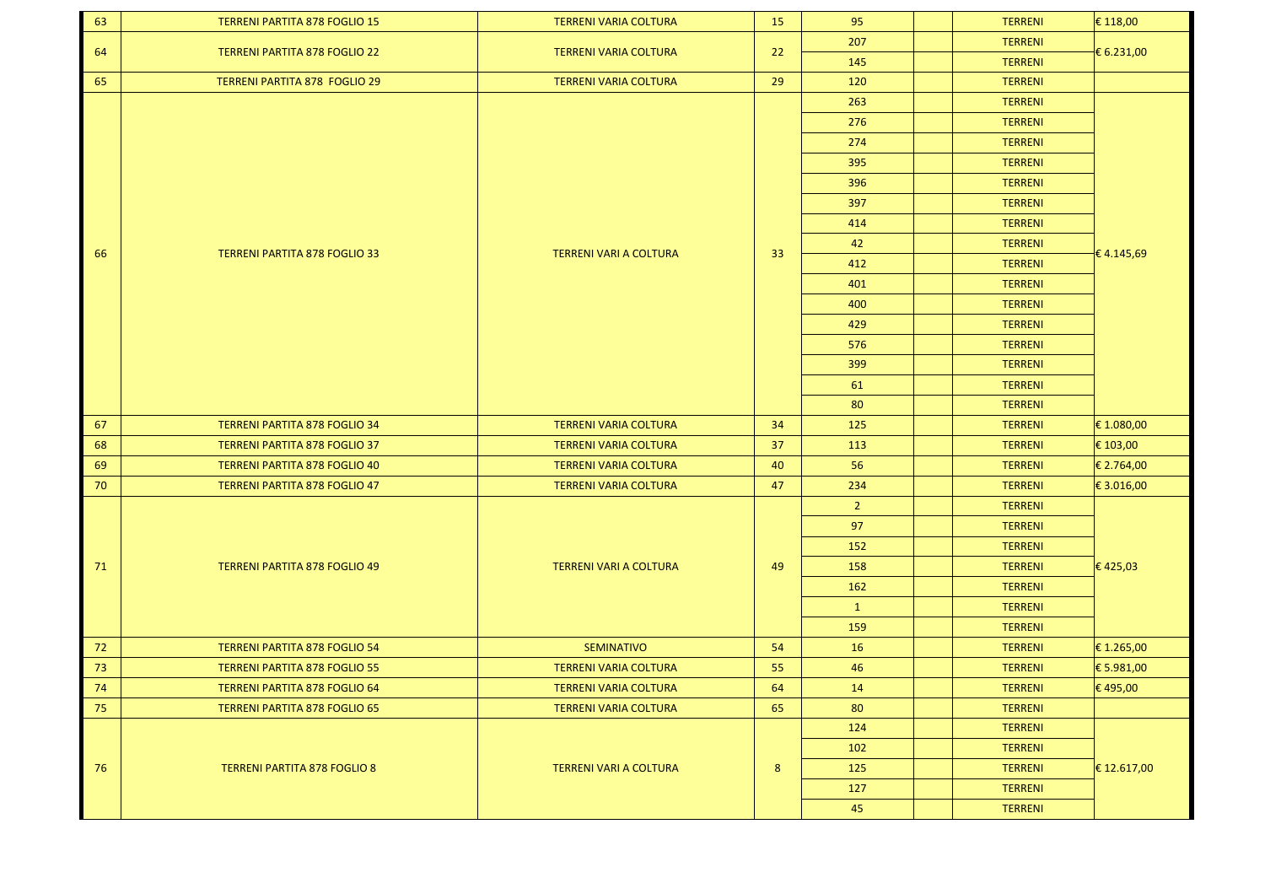| 63     | <b>TERRENI PARTITA 878 FOGLIO 15</b> | <b>TERRENI VARIA COLTURA</b>  | 15 | 95             | <b>TERRENI</b> | $\epsilon$ 118,00 |
|--------|--------------------------------------|-------------------------------|----|----------------|----------------|-------------------|
| 64     |                                      |                               |    | 207            | <b>TERRENI</b> | € 6.231,00        |
|        | <b>TERRENI PARTITA 878 FOGLIO 22</b> | <b>TERRENI VARIA COLTURA</b>  | 22 | 145            | <b>TERRENI</b> |                   |
| 65     | <b>TERRENI PARTITA 878 FOGLIO 29</b> | <b>TERRENI VARIA COLTURA</b>  | 29 | 120            | <b>TERRENI</b> |                   |
|        |                                      |                               |    | 263            | <b>TERRENI</b> |                   |
|        |                                      |                               |    | 276            | <b>TERRENI</b> |                   |
|        |                                      |                               |    | 274            | <b>TERRENI</b> |                   |
|        |                                      |                               |    | 395            | <b>TERRENI</b> |                   |
|        |                                      |                               |    | 396            | <b>TERRENI</b> |                   |
|        |                                      |                               |    | 397            | <b>TERRENI</b> |                   |
|        |                                      |                               |    | 414            | <b>TERRENI</b> |                   |
|        |                                      |                               |    | 42             | <b>TERRENI</b> | €4.145,69         |
| 66     | <b>TERRENI PARTITA 878 FOGLIO 33</b> | <b>TERRENI VARI A COLTURA</b> | 33 | 412            | <b>TERRENI</b> |                   |
|        |                                      |                               |    | 401            | <b>TERRENI</b> |                   |
|        |                                      |                               |    | 400            | <b>TERRENI</b> |                   |
|        |                                      |                               |    | 429            | <b>TERRENI</b> |                   |
|        |                                      |                               |    | 576            | <b>TERRENI</b> |                   |
|        |                                      |                               |    | 399            | <b>TERRENI</b> |                   |
|        |                                      |                               |    | 61             | <b>TERRENI</b> |                   |
|        |                                      |                               |    | 80             | <b>TERRENI</b> |                   |
| 67     | <b>TERRENI PARTITA 878 FOGLIO 34</b> | <b>TERRENI VARIA COLTURA</b>  | 34 | 125            | <b>TERRENI</b> | € 1.080,00        |
| 68     | <b>TERRENI PARTITA 878 FOGLIO 37</b> | <b>TERRENI VARIA COLTURA</b>  | 37 | 113            | <b>TERRENI</b> | € 103,00          |
| 69     | <b>TERRENI PARTITA 878 FOGLIO 40</b> | <b>TERRENI VARIA COLTURA</b>  | 40 | 56             | <b>TERRENI</b> | € 2.764,00        |
| 70     | <b>TERRENI PARTITA 878 FOGLIO 47</b> | <b>TERRENI VARIA COLTURA</b>  | 47 | 234            | <b>TERRENI</b> | € 3.016,00        |
|        |                                      |                               |    | $\overline{2}$ | <b>TERRENI</b> | €425,03           |
|        | <b>TERRENI PARTITA 878 FOGLIO 49</b> | <b>TERRENI VARI A COLTURA</b> | 49 | 97             | <b>TERRENI</b> |                   |
|        |                                      |                               |    | 152            | <b>TERRENI</b> |                   |
| 71     |                                      |                               |    | 158            | <b>TERRENI</b> |                   |
|        |                                      |                               |    | 162            | <b>TERRENI</b> |                   |
|        |                                      |                               |    | $\mathbf{1}$   | <b>TERRENI</b> |                   |
|        |                                      |                               |    | 159            | <b>TERRENI</b> |                   |
| 72     | <b>TERRENI PARTITA 878 FOGLIO 54</b> | <b>SEMINATIVO</b>             | 54 | 16             | <b>TERRENI</b> | € 1.265,00        |
| $73$   | <b>TERRENI PARTITA 878 FOGLIO 55</b> | <b>TERRENI VARIA COLTURA</b>  | 55 | 46             | <b>TERRENI</b> | € 5.981,00        |
| $74\,$ | TERRENI PARTITA 878 FOGLIO 64        | TERRENI VARIA COLTURA         | 64 | 14             | <b>TERRENI</b> | € 495,00          |
| 75     | <b>TERRENI PARTITA 878 FOGLIO 65</b> | <b>TERRENI VARIA COLTURA</b>  | 65 | 80             | <b>TERRENI</b> |                   |
|        |                                      |                               |    | 124            | <b>TERRENI</b> |                   |
|        |                                      | TERRENI VARI A COLTURA        |    | 102            | <b>TERRENI</b> |                   |
| 76     | <b>TERRENI PARTITA 878 FOGLIO 8</b>  |                               | 8  | 125            | <b>TERRENI</b> | $\in$ 12.617,00   |
|        |                                      |                               |    | 127            | <b>TERRENI</b> |                   |
|        |                                      |                               |    | 45             | <b>TERRENI</b> |                   |